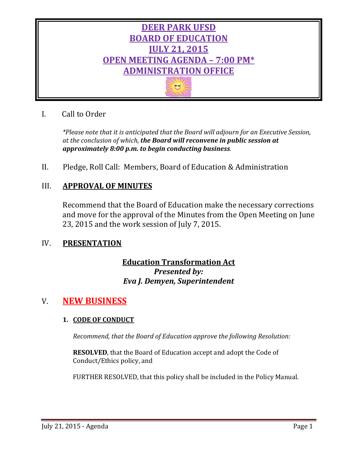

# I. Call to Order

*\*Please note that it is anticipated that the Board will adjourn for an Executive Session, at the conclusion of which, the Board will reconvene in public session at approximately 8:00 p.m. to begin conducting business.*

II. Pledge, Roll Call: Members, Board of Education & Administration

## III. **APPROVAL OF MINUTES**

Recommend that the Board of Education make the necessary corrections and move for the approval of the Minutes from the Open Meeting on June 23, 2015 and the work session of July 7, 2015.

## IV. **PRESENTATION**

# **Education Transformation Act** *Presented by: Eva J. Demyen, Superintendent*

# V. **NEW BUSINESS**

## **1. CODE OF CONDUCT**

*Recommend, that the Board of Education approve the following Resolution:*

**RESOLVED**, that the Board of Education accept and adopt the Code of Conduct/Ethics policy, and

FURTHER RESOLVED, that this policy shall be included in the Policy Manual.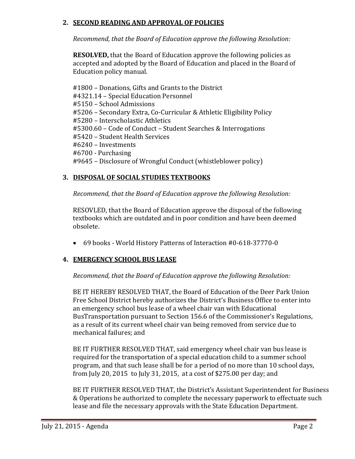## **2. SECOND READING AND APPROVAL OF POLICIES**

*Recommend, that the Board of Education approve the following Resolution:*

**RESOLVED,** that the Board of Education approve the following policies as accepted and adopted by the Board of Education and placed in the Board of Education policy manual.

#1800 – Donations, Gifts and Grants to the District #4321.14 – Special Education Personnel #5150 – School Admissions #5206 – Secondary Extra, Co-Curricular & Athletic Eligibility Policy #5280 – Interscholastic Athletics #5300.60 – Code of Conduct – Student Searches & Interrogations #5420 – Student Health Services #6240 – Investments #6700 - Purchasing #9645 – Disclosure of Wrongful Conduct (whistleblower policy)

## **3. DISPOSAL OF SOCIAL STUDIES TEXTBOOKS**

*Recommend, that the Board of Education approve the following Resolution:*

RESOVLED, that the Board of Education approve the disposal of the following textbooks which are outdated and in poor condition and have been deemed obsolete.

• 69 books - World History Patterns of Interaction #0-618-37770-0

## **4. EMERGENCY SCHOOL BUS LEASE**

#### *Recommend, that the Board of Education approve the following Resolution:*

BE IT HEREBY RESOLVED THAT, the Board of Education of the Deer Park Union Free School District hereby authorizes the District's Business Office to enter into an emergency school bus lease of a wheel chair van with Educational BusTransportation pursuant to Section 156.6 of the Commissioner's Regulations, as a result of its current wheel chair van being removed from service due to mechanical failures; and

BE IT FURTHER RESOLVED THAT, said emergency wheel chair van bus lease is required for the transportation of a special education child to a summer school program, and that such lease shall be for a period of no more than 10 school days, from July 20, 2015 to July 31, 2015, at a cost of \$275.00 per day; and

BE IT FURTHER RESOLVED THAT, the District's Assistant Superintendent for Business & Operations be authorized to complete the necessary paperwork to effectuate such lease and file the necessary approvals with the State Education Department.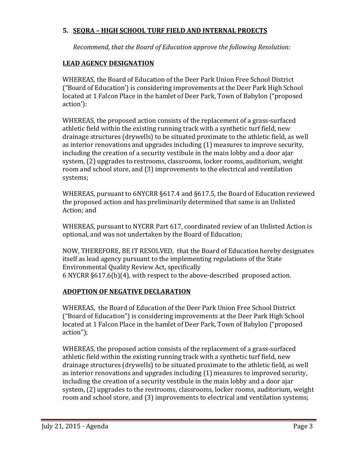## **5. SEQRA – HIGH SCHOOL TURF FIELD AND INTERNAL PROECTS**

*Recommend, that the Board of Education approve the following Resolution:*

## **LEAD AGENCY DESIGNATION**

WHEREAS, the Board of Education of the Deer Park Union Free School District ("Board of Education') is considering improvements at the Deer Park High School located at 1 Falcon Place in the hamlet of Deer Park, Town of Babylon ("proposed action'):

WHEREAS, the proposed action consists of the replacement of a grass-surfaced athletic field within the existing running track with a synthetic turf field, new drainage structures (drywells) to be situated proximate to the athletic field, as well as interior renovations and upgrades including (1) measures to improve security, including the creation of a security vestibule in the main lobby and a door ajar system, (2) upgrades to restrooms, classrooms, locker rooms, auditorium, weight room and school store, and (3) improvements to the electrical and ventilation systems;

WHEREAS, pursuant to 6NYCRR §617.4 and §617.5, the Board of Education reviewed the proposed action and has preliminarily determined that same is an Unlisted Action; and

WHEREAS, pursuant to NYCRR Part 617, coordinated review of an Unlisted Action is optional, and was not undertaken by the Board of Education;

NOW, THEREFORE, BE IT RESOLVED, that the Board of Education hereby designates itself as lead agency pursuant to the implementing regulations of the State Environmental Quality Review Act, specifically 6 NYCRR §617.6(b)(4), with respect to the above-described proposed action.

## **ADOPTION OF NEGATIVE DECLARATION**

WHEREAS, the Board of Education of the Deer Park Union Free School District ("Board of Education") is considering improvements at the Deer Park High School located at 1 Falcon Place in the hamlet of Deer Park, Town of Babylon ("proposed action");

WHEREAS, the proposed action consists of the replacement of a grass-surfaced athletic field within the existing running track with a synthetic turf field, new drainage structures (drywells) to be situated proximate to the athletic field, as well as interior renovations and upgrades including (1) measures to improved security, including the creation of a security vestibule in the main lobby and a door ajar system, (2) upgrades to the restrooms, classrooms, locker rooms, auditorium, weight room and school store, and (3) improvements to electrical and ventilation systems;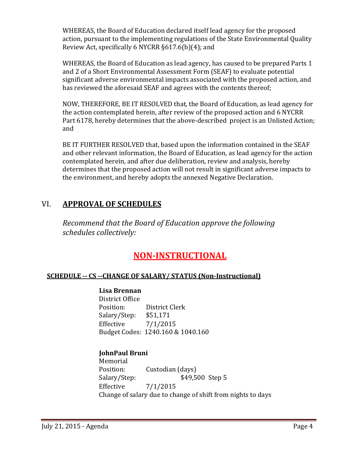WHEREAS, the Board of Education declared itself lead agency for the proposed action, pursuant to the implementing regulations of the State Environmental Quality Review Act, specifically 6 NYCRR §617.6(b)(4); and

WHEREAS, the Board of Education as lead agency, has caused to be prepared Parts 1 and 2 of a Short Environmental Assessment Form (SEAF) to evaluate potential significant adverse environmental impacts associated with the proposed action, and has reviewed the aforesaid SEAF and agrees with the contents thereof;

NOW, THEREFORE, BE IT RESOLVED that, the Board of Education, as lead agency for the action contemplated herein, after review of the proposed action and 6 NYCRR Part 6178, hereby determines that the above-described project is an Unlisted Action; and

BE IT FURTHER RESOLVED that, based upon the information contained in the SEAF and other relevant information, the Board of Education, as lead agency for the action contemplated herein, and after due deliberation, review and analysis, hereby determines that the proposed action will not result in significant adverse impacts to the environment, and hereby adopts the annexed Negative Declaration.

# VI. **APPROVAL OF SCHEDULES**

*Recommend that the Board of Education approve the following schedules collectively:*

# **NON-INSTRUCTIONAL**

## **SCHEDULE -- CS --CHANGE OF SALARY/ STATUS (Non-Instructional)**

#### **Lisa Brennan**

District Office District Clerk<br>\$51,171 Salary/Step: Effective 7/1/2015 Budget Codes: 1240.160 & 1040.160

## **JohnPaul Bruni**

Memorial<br>Position: Position: Custodian (days)<br>Salary/Step: \$49,5 \$49,500 Step 5 Effective 7/1/2015 Change of salary due to change of shift from nights to days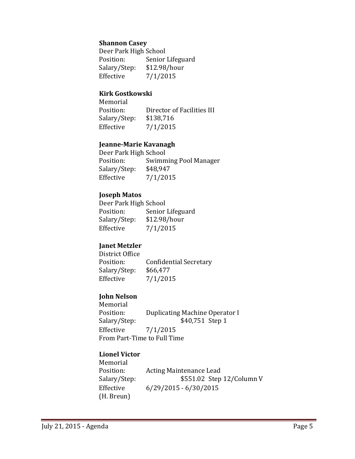#### **Shannon Casey**

Deer Park High School<br>Position: Senior Senior Lifeguard<br>\$12.98/hour Salary/Step:<br>Effective  $7/1/2015$ 

#### **Kirk Gostkowski**

Memorial<br>Position: Director of Facilities III<br>\$138,716 Salary/Step:<br>Effective  $7/1/2015$ 

#### **Jeanne-Marie Kavanagh**

Deer Park High School<br>Position: Swimm Swimming Pool Manager<br>\$48,947 Salary/Step:<br>Effective  $7/1/2015$ 

#### **Joseph Matos**

Deer Park High School<br>Position: Senior Senior Lifeguard<br>\$12.98/hour Salary/Step:<br>Effective  $7/1/2015$ 

## **Janet Metzler**

District Office<br>Position: Confidential Secretary<br>\$66,477 Salary/Step: Effective 7/1/2015

## **John Nelson**

Memorial<br>Position: Position: Duplicating Machine Operator I<br>Salary/Step: \$40,751 Step 1 Salary/Step: \$40,751 Step 1<br>Effective 7/1/2015  $7/1/2015$ From Part-Time to Full Time

#### **Lionel Victor**

Memorial<br>Position: Position: Acting Maintenance Lead<br>Salary/Step: \$551.02 Step  $$551.02$  Step 12/Column V Effective 6/29/2015 - 6/30/2015 (H. Breun)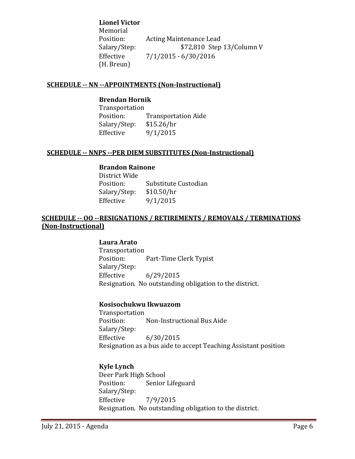**Lionel Victor**

Memorial<br>Position: Position: Acting Maintenance Lead<br>Salary/Step: \$72,810 Step Salary/Step: \$72,810 Step 13/Column V<br>Effective 7/1/2015 - 6/30/2016  $7/1/2015 - 6/30/2016$ (H. Breun)

#### **SCHEDULE -- NN --APPOINTMENTS (Non-Instructional)**

#### **Brendan Hornik**

Transportation<br>Position: Transportation Aide<br>\$15.26/hr Salary/Step:<br>Effective  $9/1/2015$ 

#### **SCHEDULE -- NNPS --PER DIEM SUBSTITUTES (Non-Instructional)**

#### **Brandon Rainone**

District Wide Substitute Custodian<br>\$10.50/hr Salary/Step:<br>Effective  $9/1/2015$ 

## **SCHEDULE -- OO --RESIGNATIONS / RETIREMENTS / REMOVALS / TERMINATIONS (Non-Instructional)**

#### **Laura Arato**

Transportation Part-Time Clerk Typist Salary/Step:<br>Effective Effective 6/29/2015 Resignation. No outstanding obligation to the district.

#### **Kosisochukwu Ikwuazom**

Transportation<br>Position: Non-Instructional Bus Aide Salary/Step:<br>Effective  $6/30/2015$ Resignation as a bus aide to accept Teaching Assistant position

#### **Kyle Lynch**

Deer Park High School<br>Position: Senior Senior Lifeguard Salary/Step: Effective 7/9/2015 Resignation. No outstanding obligation to the district.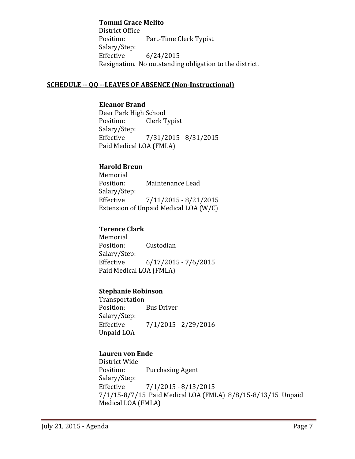**Tommi Grace Melito**

District Office<br>Position: Part-Time Clerk Typist Salary/Step:<br>Effective  $6/24/2015$ Resignation. No outstanding obligation to the district.

## **SCHEDULE -- QQ --LEAVES OF ABSENCE (Non-Instructional)**

**Eleanor Brand** Deer Park High School<br>Position: Clerk T Clerk Typist Salary/Step:<br>Effective Effective 7/31/2015 - 8/31/2015 Paid Medical LOA (FMLA)

## **Harold Breun**

Memorial<br>Position: Maintenance Lead Salary/Step:<br>Effective Effective 7/11/2015 - 8/21/2015 Extension of Unpaid Medical LOA (W/C)

## **Terence Clark**

Memorial<br>Position: Custodian Salary/Step:  $6/17/2015 - 7/6/2015$ Paid Medical LOA (FMLA)

#### **Stephanie Robinson**

Transportation<br>Position: **Bus Driver** Salary/Step:<br>Effective Effective 7/1/2015 - 2/29/2016 Unpaid LOA

## **Lauren von Ende**

District Wide Purchasing Agent Salary/Step:<br>Effective  $7/1/2015 - 8/13/2015$ 7/1/15-8/7/15 Paid Medical LOA (FMLA) 8/8/15-8/13/15 Unpaid Medical LOA (FMLA)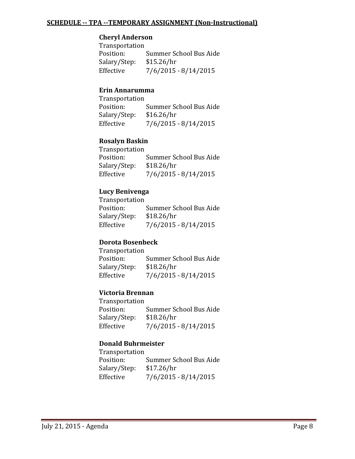#### **SCHEDULE -- TPA --TEMPORARY ASSIGNMENT (Non-Instructional)**

#### **Cheryl Anderson**

Transportation Summer School Bus Aide<br>\$15.26/hr Salary/Step:<br>Effective  $7/6/2015 - 8/14/2015$ 

#### **Erin Annarumma**

Transportation Summer School Bus Aide<br>\$16.26/hr Salary/Step: Effective 7/6/2015 - 8/14/2015

#### **Rosalyn Baskin**

Transportation<br>Position: Summer School Bus Aide<br>\$18.26/hr Salary/Step:<br>Effective  $7/6/2015 - 8/14/2015$ 

#### **Lucy Benivenga**

Transportation Summer School Bus Aide<br>\$18.26/hr Salary/Step: Effective 7/6/2015 - 8/14/2015

#### **Dorota Bosenbeck**

Transportation Summer School Bus Aide<br>\$18.26/hr Salary/Step:<br>Effective  $7/6/2015 - 8/14/2015$ 

#### **Victoria Brennan**

Transportation Summer School Bus Aide<br>\$18.26/hr Salary/Step:<br>Effective  $7/6/2015 - 8/14/2015$ 

#### **Donald Buhrmeister**

Transportation<br>Position: Summer School Bus Aide<br>\$17.26/hr Salary/Step:<br>Effective  $7/6/2015 - 8/14/2015$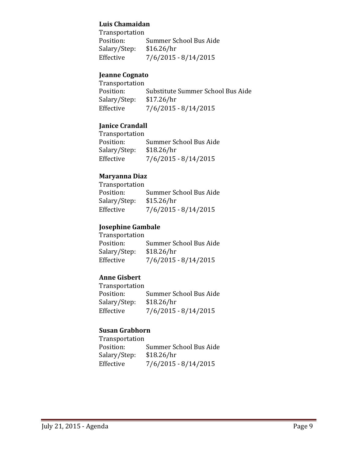#### **Luis Chamaidan**

Transportation Summer School Bus Aide<br>\$16.26/hr Salary/Step:<br>Effective  $7/6/2015 - 8/14/2015$ 

## **Jeanne Cognato**

Transportation<br>Position: Substitute Summer School Bus Aide<br>\$17.26/hr Salary/Step:<br>Effective  $7/6/2015 - 8/14/2015$ 

## **Janice Crandall**

Transportation<br>Position: Summer School Bus Aide<br>\$18.26/hr Salary/Step:<br>Effective  $7/6/2015 - 8/14/2015$ 

## **Maryanna Diaz**

| Transportation |                        |
|----------------|------------------------|
| Position:      | Summer School Bus Aide |
| Salary/Step:   | \$15.26/hr             |
| Effective      | $7/6/2015 - 8/14/2015$ |

### **Josephine Gambale**

Transportation<br>Position: Summer School Bus Aide<br>\$18.26/hr Salary/Step:<br>Effective  $7/6/2015 - 8/14/2015$ 

## **Anne Gisbert**

Transportation Summer School Bus Aide<br>\$18.26/hr Salary/Step:<br>Effective  $7/6/2015 - 8/14/2015$ 

## **Susan Grabhorn**

| Transportation |                        |
|----------------|------------------------|
| Position:      | Summer School Bus Aide |
| Salary/Step:   | \$18.26/hr             |
| Effective      | $7/6/2015 - 8/14/2015$ |
|                |                        |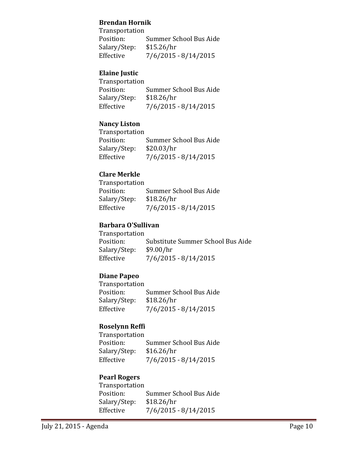### **Brendan Hornik**

Transportation Summer School Bus Aide<br>\$15.26/hr Salary/Step:<br>Effective  $7/6/2015 - 8/14/2015$ 

## **Elaine Justic**

| Transportation |                        |
|----------------|------------------------|
| Position:      | Summer School Bus Aide |
| Salary/Step:   | \$18.26/hr             |
| Effective      | $7/6/2015 - 8/14/2015$ |

## **Nancy Liston**

| Transportation         |
|------------------------|
| Summer School Bus Aide |
| \$20.03/hr             |
| $7/6/2015 - 8/14/2015$ |
|                        |

## **Clare Merkle**

| Transportation         |
|------------------------|
| Summer School Bus Aide |
| \$18.26/hr             |
| $7/6/2015 - 8/14/2015$ |
|                        |

## **Barbara O'Sullivan**

| <b>Transportation</b> |                                   |
|-----------------------|-----------------------------------|
| Position:             | Substitute Summer School Bus Aide |
| Salary/Step:          | \$9.00/hr                         |
| Effective             | $7/6/2015 - 8/14/2015$            |

## **Diane Papeo**

Transportation<br>Position: Summer School Bus Aide<br>\$18.26/hr Salary/Step:<br>Effective  $7/6/2015 - 8/14/2015$ 

## **Roselynn Reffi**

Transportation<br>Position: Summer School Bus Aide<br>\$16.26/hr Salary/Step:<br>Effective  $7/6/2015 - 8/14/2015$ 

#### **Pearl Rogers**

Transportation Summer School Bus Aide<br>\$18.26/hr Salary/Step:<br>Effective  $7/6/2015 - 8/14/2015$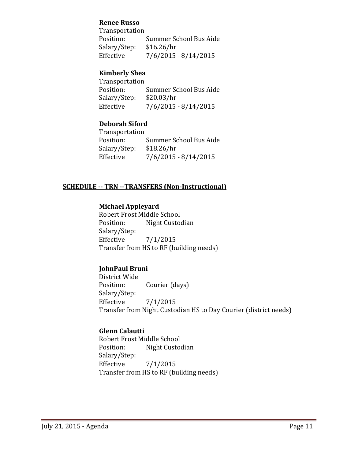#### **Renee Russo**

Transportation<br>Position: Summer School Bus Aide<br>\$16.26/hr Salary/Step:<br>Effective  $7/6/2015 - 8/14/2015$ 

### **Kimberly Shea**

Transportation Summer School Bus Aide<br>\$20.03/hr Salary/Step:<br>Effective  $7/6/2015 - 8/14/2015$ 

## **Deborah Siford**

Transportation Summer School Bus Aide<br>\$18.26/hr Salary/Step:<br>Effective  $7/6/2015 - 8/14/2015$ 

## **SCHEDULE -- TRN --TRANSFERS (Non-Instructional)**

## **Michael Appleyard**

Robert Frost Middle School<br>Position: Night Custoo Night Custodian Salary/Step:<br>Effective  $7/1/2015$ Transfer from HS to RF (building needs)

## **JohnPaul Bruni**

District Wide Courier (days) Salary/Step: Effective 7/1/2015 Transfer from Night Custodian HS to Day Courier (district needs)

#### **Glenn Calautti**

Robert Frost Middle School<br>Position: Night Custoo Night Custodian Salary/Step:<br>Effective  $7/1/2015$ Transfer from HS to RF (building needs)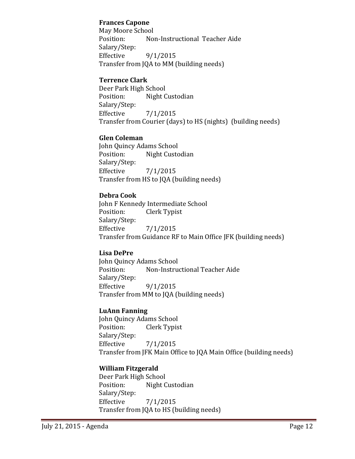#### **Frances Capone**

May Moore School<br>Position: Noi Non-Instructional Teacher Aide Salary/Step:  $9/1/2015$ Transfer from JQA to MM (building needs)

## **Terrence Clark**

Deer Park High School<br>Position: Night C Night Custodian Salary/Step: Effective 7/1/2015 Transfer from Courier (days) to HS (nights) (building needs)

## **Glen Coleman**

John Quincy Adams School<br>Position: Night Custo Night Custodian Salary/Step: Effective 7/1/2015 Transfer from HS to JQA (building needs)

## **Debra Cook**

John F Kennedy Intermediate School<br>Position: Clerk Typist Clerk Typist Salary/Step: Effective 7/1/2015 Transfer from Guidance RF to Main Office JFK (building needs)

#### **Lisa DePre**

John Quincy Adams School<br>Position: Non-Instrue Non-Instructional Teacher Aide Salary/Step:  $9/1/2015$ Transfer from MM to JQA (building needs)

#### **LuAnn Fanning**

John Quincy Adams School<br>Position: Clerk Typis Clerk Typist Salary/Step:  $7/1/2015$ Transfer from JFK Main Office to JQA Main Office (building needs)

## **William Fitzgerald**

Deer Park High School<br>Position: Night C Night Custodian Salary/Step:<br>Effective  $7/1/2015$ Transfer from JQA to HS (building needs)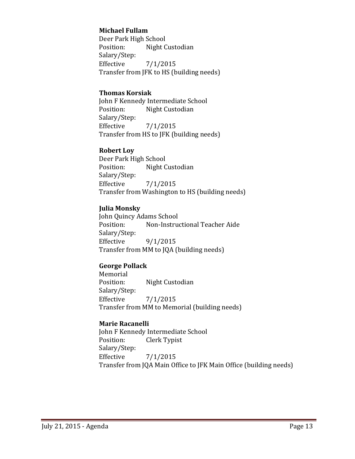### **Michael Fullam**

Deer Park High School<br>Position: Night C Night Custodian Salary/Step:  $7/1/2015$ Transfer from JFK to HS (building needs)

#### **Thomas Korsiak**

John F Kennedy Intermediate School<br>Position: Night Custodian Night Custodian Salary/Step: Effective 7/1/2015 Transfer from HS to JFK (building needs)

#### **Robert Loy**

Deer Park High School<br>Position: Night C Night Custodian Salary/Step:<br>Effective  $7/1/2015$ Transfer from Washington to HS (building needs)

#### **Julia Monsky**

John Quincy Adams School<br>Position: Non-Instru Non-Instructional Teacher Aide Salary/Step: Effective 9/1/2015 Transfer from MM to JQA (building needs)

#### **George Pollack**

Memorial<br>Position: Night Custodian Salary/Step:<br>Effective  $7/1/2015$ Transfer from MM to Memorial (building needs)

#### **Marie Racanelli**

John F Kennedy Intermediate School<br>Position: Clerk Typist Clerk Typist Salary/Step:<br>Effective  $7/1/2015$ Transfer from JQA Main Office to JFK Main Office (building needs)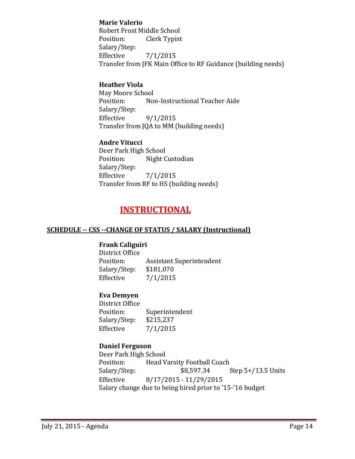## **Marie Valerio**

Robert Frost Middle School<br>Position: Clerk Typist Clerk Typist Salary/Step:<br>Effective  $7/1/2015$ Transfer from JFK Main Office to RF Guidance (building needs)

## **Heather Viola**

May Moore School<br>Position: No Non-Instructional Teacher Aide Salary/Step:  $9/1/2015$ Transfer from JQA to MM (building needs)

## **Andre Vitucci**

Deer Park High School<br>Position: Night C Night Custodian Salary/Step:<br>Effective  $7/1/2015$ Transfer from RF to HS (building needs)

# **INSTRUCTIONAL**

#### **SCHEDULE -- CSS --CHANGE OF STATUS / SALARY (Instructional)**

#### **Frank Caliguiri**

District Office<br>Position: Assistant Superintendent<br>\$181,070 Salary/Step:<br>Effective  $7/1/2015$ 

## **Eva Demyen**

District Office Superintendent<br>\$215,237 Salary/Step:<br>Effective  $7/1/2015$ 

## **Daniel Ferguson**

Deer Park High School<br>Position: Head V Position: Head Varsity Football Coach<br>Salary/Step: \$8,597.34 Step  $5+/13.5$  Units Effective 8/17/2015 - 11/29/2015 Salary change due to being hired prior to '15-'16 budget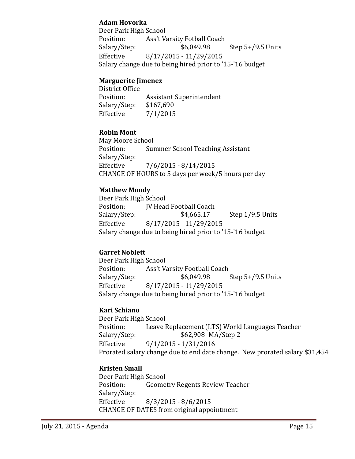## **Adam Hovorka**

Deer Park High School<br>Position: Ass't Va Position: Ass't Varsity Fotball Coach<br>Salary/Step: \$6,049.98 Salary/Step: \$6,049.98 Step 5+/9.5 Units<br>Effective 8/17/2015 - 11/29/2015 Effective 8/17/2015 - 11/29/2015 Salary change due to being hired prior to '15-'16 budget

## **Marguerite Jimenez**

District Office Assistant Superintendent<br>\$167,690 Salary/Step:<br>Effective  $7/1/2015$ 

## **Robin Mont**

May Moore School<br>Position: Sur Summer School Teaching Assistant Salary/Step:  $7/6/2015 - 8/14/2015$ CHANGE OF HOURS to 5 days per week/5 hours per day

## **Matthew Moody**

Deer Park High School<br>Position: [V Head Position: JV Head Football Coach<br>Salary/Step: \$4,665.17 Step  $1/9.5$  Units Effective 8/17/2015 - 11/29/2015 Salary change due to being hired prior to '15-'16 budget

## **Garret Noblett**

Deer Park High School<br>Position: Ass't Va Position: Ass't Varsity Football Coach<br>Salary/Step: \$6,049.98 Step  $5+/9.5$  Units Effective 8/17/2015 - 11/29/2015 Salary change due to being hired prior to '15-'16 budget

## **Kari Schiano**

Deer Park High School<br>Position: Leave I Position: Leave Replacement (LTS) World Languages Teacher<br>Salary/Step: \$62,908 MA/Step 2 \$62,908 MA/Step 2 Effective 9/1/2015 - 1/31/2016 Prorated salary change due to end date change. New prorated salary \$31,454

## **Kristen Small**

Deer Park High School<br>Position: Geome Geometry Regents Review Teacher Salary/Step:<br>Effective  $8/3/2015 - 8/6/2015$ CHANGE OF DATES from original appointment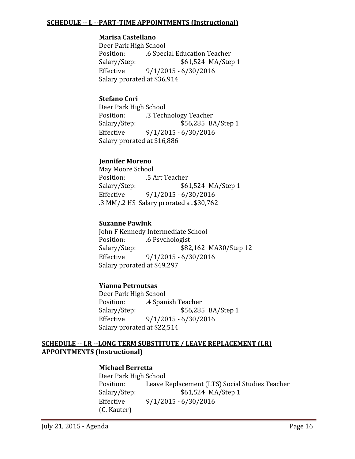#### **SCHEDULE -- L --PART-TIME APPOINTMENTS (Instructional)**

#### **Marisa Castellano**

Deer Park High School Position: .6 Special Education Teacher \$61,524 MA/Step 1 Effective 9/1/2015 - 6/30/2016 Salary prorated at \$36,914

### **Stefano Cori**

Deer Park High School Position: .3 Technology Teacher<br>Salary/Step: ... \$56,285 B \$56,285 BA/Step 1 Effective 9/1/2015 - 6/30/2016 Salary prorated at \$16,886

## **Jennifer Moreno**

May Moore School Position: .5 Art Teacher<br>Salary/Step: \$62 \$61,524 MA/Step 1 Effective 9/1/2015 - 6/30/2016 .3 MM/.2 HS Salary prorated at \$30,762

#### **Suzanne Pawluk**

John F Kennedy Intermediate School<br>Position: 6 Psychologist Position: .6 Psychologist<br>Salary/Step: \$82 \$82,162 MA30/Step 12 Effective 9/1/2015 - 6/30/2016 Salary prorated at \$49,297

## **Yianna Petroutsas**

Deer Park High School<br>Position: .4 Span Position: . .4 Spanish Teacher<br>Salary/Step: \$56,285 \$56,285 BA/Step 1 Effective 9/1/2015 - 6/30/2016 Salary prorated at \$22,514

#### **SCHEDULE -- LR --LONG TERM SUBSTITUTE / LEAVE REPLACEMENT (LR) APPOINTMENTS (Instructional)**

#### **Michael Berretta**

Deer Park High School<br>Position: Leave l Position: Leave Replacement (LTS) Social Studies Teacher<br>Salary/Step: \$61,524 MA/Step 1 \$61,524 MA/Step 1 Effective 9/1/2015 - 6/30/2016 (C. Kauter)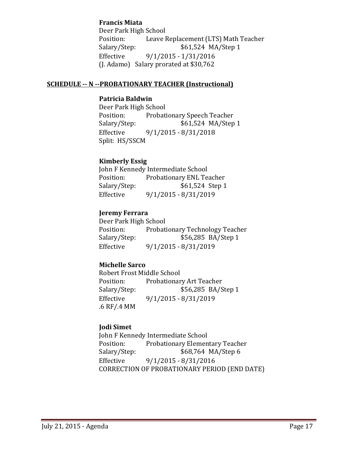#### **Francis Miata**

Deer Park High School<br>Position: Leave I Position: Leave Replacement (LTS) Math Teacher<br>Salary/Step: \$61,524 MA/Step 1 Salary/Step: \$61,524 MA/Step 1<br>Effective 9/1/2015 - 1/31/2016 Effective 9/1/2015 - 1/31/2016 (J. Adamo) Salary prorated at \$30,762

#### **SCHEDULE -- N --PROBATIONARY TEACHER (Instructional)**

## **Patricia Baldwin**

Deer Park High School Position: Probationary Speech Teacher<br>Salary/Step: \$61,524 MA/Step Salary/Step: \$61,524 MA/Step 1<br>Effective 9/1/2015 - 8/31/2018 Effective 9/1/2015 - 8/31/2018 Split: HS/SSCM

#### **Kimberly Essig**

John F Kennedy Intermediate School<br>Position: Probationary ENL Te Position: Probationary ENL Teacher<br>Salary/Step: \$61,524 Step 1 Salary/Step: \$61,524 Step 1<br>Effective 9/1/2015 - 8/31/2019 Effective 9/1/2015 - 8/31/2019

#### **Jeremy Ferrara**

Deer Park High School<br>Position: Probati Position: Probationary Technology Teacher<br>Salary/Step: \$56,285 BA/Step 1 \$56,285 BA/Step 1 Effective 9/1/2015 - 8/31/2019

#### **Michelle Sarco**

Robert Frost Middle School Position: Probationary Art Teacher<br>Salary/Step: \$56,285 BA/S Salary/Step: \$56,285 BA/Step 1<br>Effective 9/1/2015 - 8/31/2019 Effective 9/1/2015 - 8/31/2019 .6 RF/.4 MM

#### **Jodi Simet**

John F Kennedy Intermediate School<br>Position: Probationary Elemen Position: Probationary Elementary Teacher<br>Salary/Step: \$68,764 MA/Step 6 Salary/Step: \$68,764 MA/Step 6<br>Effective 9/1/2015 - 8/31/2016 Effective 9/1/2015 - 8/31/2016 CORRECTION OF PROBATIONARY PERIOD (END DATE)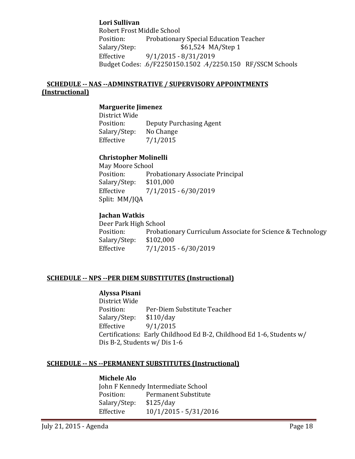**Lori Sullivan** Robert Frost Middle School Position: Probationary Special Education Teacher<br>Salary/Step: \$61,524 MA/Step 1 Salary/Step: \$61,524 MA/Step 1<br>Effective 9/1/2015 - 8/31/2019 Effective 9/1/2015 - 8/31/2019 Budget Codes: .6/F2250150.1502 .4/2250.150 RF/SSCM Schools

## **SCHEDULE -- NAS --ADMINSTRATIVE / SUPERVISORY APPOINTMENTS (Instructional)**

#### **Marguerite Jimenez**

District Wide Deputy Purchasing Agent<br>No Change Salary/Step:<br>Effective  $7/1/2015$ 

#### **Christopher Molinelli**

May Moore School<br>Position: Pro Probationary Associate Principal<br>\$101,000 Salary/Step:<br>Effective Effective 7/1/2015 - 6/30/2019 Split: MM/JQA

#### **Jachan Watkis**

Deer Park High School Probationary Curriculum Associate for Science & Technology \$102.000 Salary/Step:<br>Effective  $7/1/2015 - 6/30/2019$ 

#### **SCHEDULE -- NPS --PER DIEM SUBSTITUTES (Instructional)**

#### **Alyssa Pisani**

District Wide Per-Diem Substitute Teacher<br>\$110/day Salary/Step:<br>Effective Effective 9/1/2015 Certifications: Early Childhood Ed B-2, Childhood Ed 1-6, Students w/ Dis B-2, Students w/ Dis 1-6

#### **SCHEDULE -- NS --PERMANENT SUBSTITUTES (Instructional)**

#### **Michele Alo**

John F Kennedy Intermediate School<br>Position: Permanent Substitute Permanent Substitute<br>\$125/day Salary/Step:<br>Effective Effective 10/1/2015 - 5/31/2016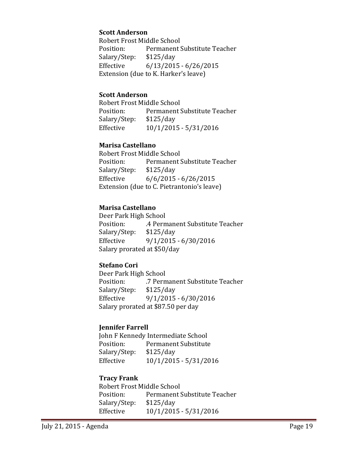#### **Scott Anderson**

Robert Frost Middle School<br>Position: Permanent! Permanent Substitute Teacher<br>\$125/day Salary/Step:<br>Effective  $6/13/2015 - 6/26/2015$ Extension (due to K. Harker's leave)

#### **Scott Anderson**

Robert Frost Middle School<br>Position: Permanent! Permanent Substitute Teacher<br>\$125/day Salary/Step: Effective 10/1/2015 - 5/31/2016

#### **Marisa Castellano**

Robert Frost Middle School<br>Position: Permanent! Permanent Substitute Teacher<br>\$125/day Salary/Step:<br>Effective  $6/6/2015 - 6/26/2015$ Extension (due to C. Pietrantonio's leave)

#### **Marisa Castellano**

Deer Park High School .4 Permanent Substitute Teacher<br>\$125/day Salary/Step:<br>Effective  $9/1/2015 - 6/30/2016$ Salary prorated at \$50/day

### **Stefano Cori**

Deer Park High School<br>Position: 7 Perm .7 Permanent Substitute Teacher<br>\$125/day Salary/Step: Effective 9/1/2015 - 6/30/2016 Salary prorated at \$87.50 per day

#### **Jennifer Farrell**

John F Kennedy Intermediate School<br>Position: Permanent Substitute Permanent Substitute<br>\$125/day Salary/Step:<br>Effective Effective 10/1/2015 - 5/31/2016

#### **Tracy Frank**

Robert Frost Middle School<br>Position: Permanent ! Permanent Substitute Teacher<br>\$125/day Salary/Step:<br>Effective Effective 10/1/2015 - 5/31/2016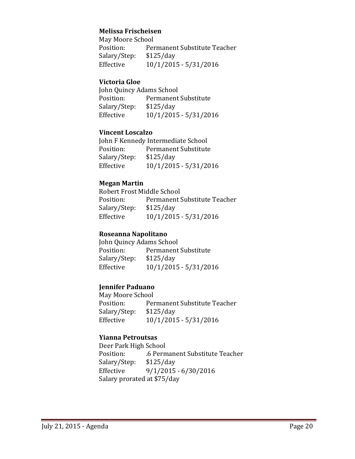## **Melissa Frischeisen**

May Moore School Permanent Substitute Teacher<br>\$125/day Salary/Step:<br>Effective Effective 10/1/2015 - 5/31/2016

#### **Victoria Gloe**

John Quincy Adams School<br>Position: Permanent Permanent Substitute<br>\$125/day Salary/Step:<br>Effective Effective 10/1/2015 - 5/31/2016

#### **Vincent Loscalzo**

John F Kennedy Intermediate School<br>Position: Permanent Substitute Permanent Substitute<br>\$125/day Salary/Step:<br>Effective Effective 10/1/2015 - 5/31/2016

## **Megan Martin**

Robert Frost Middle School<br>Position: Permanent! Permanent Substitute Teacher<br>\$125/day Salary/Step:<br>Effective Effective 10/1/2015 - 5/31/2016

#### **Roseanna Napolitano**

John Quincy Adams School<br>Position: Permanent Permanent Substitute<br>\$125/day Salary/Step: Effective 10/1/2015 - 5/31/2016

## **Jennifer Paduano**

May Moore School<br>Position: Per Permanent Substitute Teacher<br>\$125/day Salary/Step: Effective 10/1/2015 - 5/31/2016

#### **Yianna Petroutsas**

Deer Park High School .6 Permanent Substitute Teacher<br>\$125/day Salary/Step:<br>Effective  $9/1/2015 - 6/30/2016$ Salary prorated at \$75/day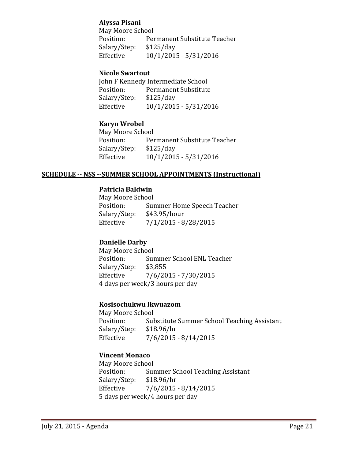## **Alyssa Pisani**

May Moore School<br>Position: Per Permanent Substitute Teacher<br>\$125/day Salary/Step:<br>Effective Effective 10/1/2015 - 5/31/2016

### **Nicole Swartout**

John F Kennedy Intermediate School<br>Position: Permanent Substitute Permanent Substitute<br>\$125/day Salary/Step:<br>Effective Effective 10/1/2015 - 5/31/2016

## **Karyn Wrobel**

May Moore School<br>Position: Per Permanent Substitute Teacher<br>\$125/day Salary/Step:<br>Effective Effective 10/1/2015 - 5/31/2016

#### **SCHEDULE -- NSS --SUMMER SCHOOL APPOINTMENTS (Instructional)**

## **Patricia Baldwin**

May Moore School<br>Position: Sur Summer Home Speech Teacher<br>\$43.95/hour Salary/Step:<br>Effective Effective 7/1/2015 - 8/28/2015

#### **Danielle Darby**

May Moore School<br>Position: Sur Summer School ENL Teacher<br>\$3,855 Salary/Step:<br>Effective  $7/6/2015 - 7/30/2015$ 4 days per week/3 hours per day

#### **Kosisochukwu Ikwuazom**

May Moore School<br>Position: Sul Substitute Summer School Teaching Assistant<br>\$18.96/hr Salary/Step:<br>Effective  $7/6/2015 - 8/14/2015$ 

## **Vincent Monaco**

May Moore School<br>Position: Sur Summer School Teaching Assistant<br>\$18.96/hr Salary/Step: Effective 7/6/2015 - 8/14/2015 5 days per week/4 hours per day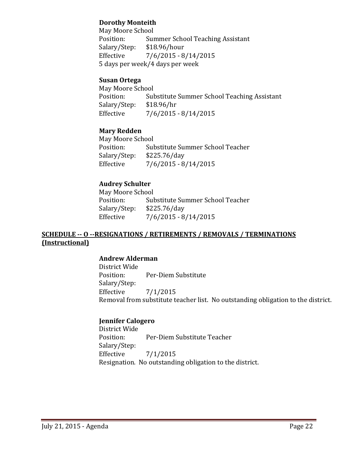## **Dorothy Monteith**

May Moore School<br>Position: Sun Summer School Teaching Assistant<br>\$18.96/hour Salary/Step:<br>Effective  $7/6/2015 - 8/14/2015$ 5 days per week/4 days per week

### **Susan Ortega**

May Moore School<br>Position: Sul Substitute Summer School Teaching Assistant<br>\$18.96/hr Salary/Step:<br>Effective  $7/6/2015 - 8/14/2015$ 

## **Mary Redden**

May Moore School<br>Position: Sul Substitute Summer School Teacher<br>\$225.76/day Salary/Step:<br>Effective  $7/6/2015 - 8/14/2015$ 

## **Audrey Schulter**

May Moore School<br>Position: Sul Substitute Summer School Teacher<br>\$225.76/day Salary/Step:<br>Effective  $7/6/2015 - 8/14/2015$ 

## **SCHEDULE -- O --RESIGNATIONS / RETIREMENTS / REMOVALS / TERMINATIONS (Instructional)**

## **Andrew Alderman**

District Wide Per-Diem Substitute Salary/Step:<br>Effective  $7/1/2015$ Removal from substitute teacher list. No outstanding obligation to the district.

## **Jennifer Calogero**

District Wide Per-Diem Substitute Teacher Salary/Step:  $7/1/2015$ Resignation. No outstanding obligation to the district.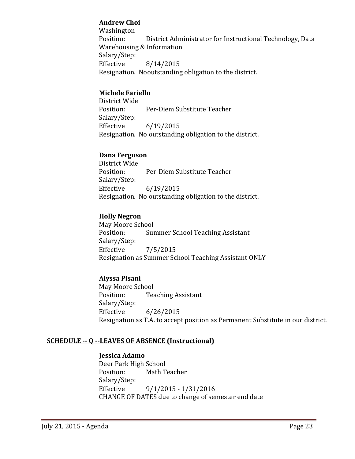## **Andrew Choi**

Washington<br>Position: District Administrator for Instructional Technology, Data Warehousing & Information Salary/Step:<br>Effective Effective 8/14/2015 Resignation. Nooutstanding obligation to the district.

## **Michele Fariello**

District Wide Per-Diem Substitute Teacher Salary/Step:<br>Effective  $6/19/2015$ Resignation. No outstanding obligation to the district.

## **Dana Ferguson**

District Wide Per-Diem Substitute Teacher Salary/Step: Effective 6/19/2015 Resignation. No outstanding obligation to the district.

## **Holly Negron**

May Moore School<br>Position: Sur Summer School Teaching Assistant Salary/Step:<br>Effective Effective 7/5/2015 Resignation as Summer School Teaching Assistant ONLY

## **Alyssa Pisani**

May Moore School<br>Position: Tea **Teaching Assistant** Salary/Step: Effective 6/26/2015 Resignation as T.A. to accept position as Permanent Substitute in our district.

## **SCHEDULE -- Q --LEAVES OF ABSENCE (Instructional)**

#### **Jessica Adamo**

Deer Park High School<br>Position: Math T Math Teacher Salary/Step: Effective 9/1/2015 - 1/31/2016 CHANGE OF DATES due to change of semester end date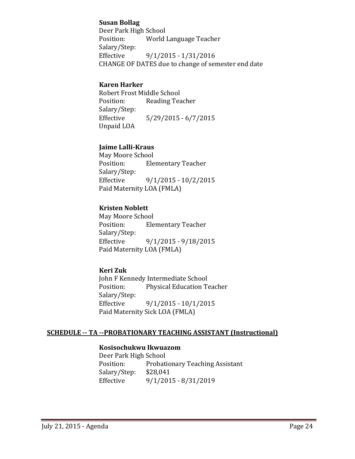### **Susan Bollag**

Deer Park High School<br>Position: World World Language Teacher Salary/Step:<br>Effective Effective 9/1/2015 - 1/31/2016 CHANGE OF DATES due to change of semester end date

## **Karen Harker**

Robert Frost Middle School<br>Position: Reading Tea Reading Teacher Salary/Step:  $5/29/2015 - 6/7/2015$ Unpaid LOA

## **Jaime Lalli-Kraus**

May Moore School<br>Position: Ele **Elementary Teacher** Salary/Step: Effective 9/1/2015 - 10/2/2015 Paid Maternity LOA (FMLA)

## **Kristen Noblett**

May Moore School<br>Position: Ele **Elementary Teacher** Salary/Step:<br>Effective Effective 9/1/2015 - 9/18/2015 Paid Maternity LOA (FMLA)

## **Keri Zuk**

John F Kennedy Intermediate School<br>Position: Physical Education To Physical Education Teacher Salary/Step:<br>Effective  $9/1/2015 - 10/1/2015$ Paid Maternity Sick LOA (FMLA)

## **SCHEDULE -- TA --PROBATIONARY TEACHING ASSISTANT (Instructional)**

## **Kosisochukwu Ikwuazom**

Deer Park High School Probationary Teaching Assistant<br>\$28,041 Salary/Step:<br>Effective Effective 9/1/2015 - 8/31/2019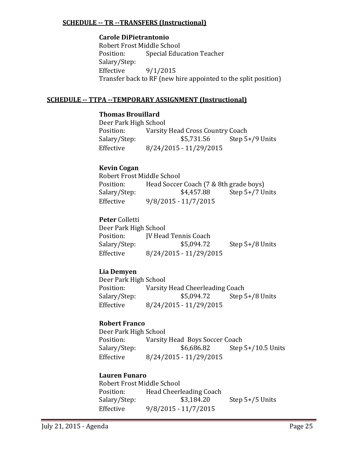### **SCHEDULE -- TR --TRANSFERS (Instructional)**

#### **Carole DiPietrantonio**

Robert Frost Middle School<br>Position: Special Educ **Special Education Teacher** Salary/Step:  $9/1/2015$ Transfer back to RF (new hire appointed to the split position)

#### **SCHEDULE -- TTPA --TEMPORARY ASSIGNMENT (Instructional)**

## **Thomas Brouillard**

Deer Park High School<br>Position: Varsity Position: Varsity Head Cross Country Coach<br>Salary/Step: \$5,731.56 Step 5 Step  $5+/9$  Units Effective 8/24/2015 - 11/29/2015

## **Kevin Cogan**

| Robert Frost Middle School |                                        |                   |
|----------------------------|----------------------------------------|-------------------|
| Position:                  | Head Soccer Coach (7 & 8th grade boys) |                   |
| Salary/Step:               | \$4,457.88                             | Step $5+/7$ Units |
| Effective                  | $9/8/2015 - 11/7/2015$                 |                   |

## **Peter** Colletti

Deer Park High School<br>Position: [V Head Position: JV Head Tennis Coach<br>Salary/Step: \$5,094.72 Salary/Step: \$5,094.72 Step 5+/8 Units<br>Effective 8/24/2015 - 11/29/2015 Effective 8/24/2015 - 11/29/2015

## **Lia Demyen**

Deer Park High School<br>Position: Varsity Position: Varsity Head Cheerleading Coach<br>Salary/Step: \$5,094.72 Step 5 Step  $5+/8$  Units Effective 8/24/2015 - 11/29/2015

## **Robert Franco**

Deer Park High School<br>Position: Varsity Position: Varsity Head Boys Soccer Coach<br>Salary/Step: \$6,686.82 Step Step  $5+/10.5$  Units Effective 8/24/2015 - 11/29/2015

#### **Lauren Funaro**

Robert Frost Middle School<br>Position: Head Cheerl Position: Head Cheerleading Coach<br>Salary/Step: \$3,184.20 Step  $5+/5$  Units Effective 9/8/2015 - 11/7/2015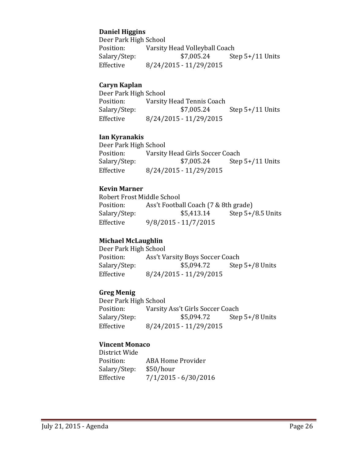## **Daniel Higgins**

Deer Park High School<br>Position: Varsity Position: Varsity Head Volleyball Coach<br>Salary/Step: \$7,005.24 Ste Step  $5+/11$  Units Effective 8/24/2015 - 11/29/2015

### **Caryn Kaplan**

| Deer Park High School |                           |                    |
|-----------------------|---------------------------|--------------------|
| Position:             | Varsity Head Tennis Coach |                    |
| Salary/Step:          | \$7,005.24                | Step $5+/11$ Units |
| Effective             | 8/24/2015 - 11/29/2015    |                    |

#### **Ian Kyranakis**

Deer Park High School<br>Position: Varsity Position: Varsity Head Girls Soccer Coach<br>Salary/Step: \$7,005.24 Step Step  $5+/11$  Units Effective 8/24/2015 - 11/29/2015

## **Kevin Marner**

Robert Frost Middle School<br>Position: Ass't Footba Position: Ass't Football Coach (7 & 8th grade)<br>Salary/Step: \$5,413.14 Step 5+ Step  $5+/8.5$  Units Effective 9/8/2015 - 11/7/2015

#### **Michael McLaughlin**

Deer Park High School<br>Position: Ass't Va Position: Ass't Varsity Boys Soccer Coach<br>Salary/Step: \$5,094.72 Step Salary/Step: \$5,094.72 Step 5+/8 Units<br>Effective 8/24/2015 - 11/29/2015 Effective 8/24/2015 - 11/29/2015

## **Greg Menig**

Deer Park High School<br>Position: Varsity Position: Varsity Ass't Girls Soccer Coach<br>Salary/Step: \$5,094.72 Step Step  $5+/8$  Units Effective 8/24/2015 - 11/29/2015

## **Vincent Monaco**

District Wide ABA Home Provider<br>\$50/hour Salary/Step:<br>Effective  $7/1/2015 - 6/30/2016$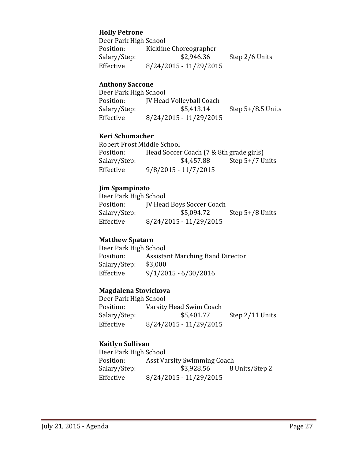#### **Holly Petrone**

Deer Park High School Position: Kickline Choreographer<br>Salary/Step: \$2,946.36 Step 2/6 Units Effective 8/24/2015 - 11/29/2015

#### **Anthony Saccone**

| Deer Park High School |                                 |                     |
|-----------------------|---------------------------------|---------------------|
| Position:             | <b>IV Head Volleyball Coach</b> |                     |
| Salary/Step:          | \$5,413.14                      | Step $5+/8.5$ Units |
| Effective             | 8/24/2015 - 11/29/2015          |                     |

#### **Keri Schumacher**

Robert Frost Middle School<br>Position: Head Soccer Position: Head Soccer Coach (7 & 8th grade girls)<br>Salary/Step: \$4,457.88 Step 5+/7 U Salary/Step: \$4,457.88 Step 5+/7 Units<br>Effective 9/8/2015 - 11/7/2015 Effective 9/8/2015 - 11/7/2015

#### **Jim Spampinato**

Deer Park High School Position: JV Head Boys Soccer Coach<br>Salary/Step: \$5,094.72 Step  $5+/8$  Units Effective 8/24/2015 - 11/29/2015

#### **Matthew Spataro**

Deer Park High School<br>Position: Assista Assistant Marching Band Director<br>\$3,000 Salary/Step: Effective 9/1/2015 - 6/30/2016

#### **Magdalena Stovickova**

Deer Park High School Position: Varsity Head Swim Coach<br>Salary/Step: \$5,401.77 Step 2/11 Units Effective 8/24/2015 - 11/29/2015

## **Kaitlyn Sullivan**

Deer Park High School<br>Position: Asst Va Position: Asst Varsity Swimming Coach<br>Salary/Step: \$3,928.56 8 Salary/Step: \$3,928.56 8 Units/Step 2<br>Effective 8/24/2015 - 11/29/2015 Effective 8/24/2015 - 11/29/2015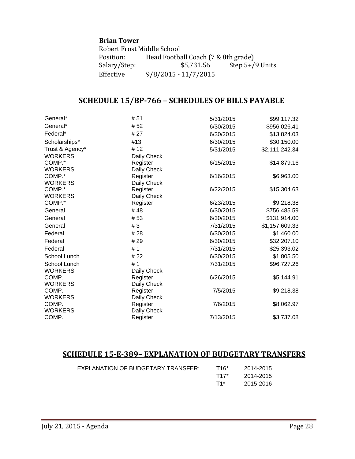#### **Brian Tower**

Robert Frost Middle School<br>Position: Head Footba Position: Head Football Coach (7 & 8th grade)<br>Salary/Step: \$5,731.56 Step 5+/ Salary/Step: \$5,731.56 Step 5+/9 Units<br>Effective 9/8/2015 - 11/7/2015 Effective 9/8/2015 - 11/7/2015

# **SCHEDULE 15/BP-766 – SCHEDULES OF BILLS PAYABLE**

| General*        | # 51        | 5/31/2015 | \$99,117.32    |
|-----------------|-------------|-----------|----------------|
| General*        | #52         | 6/30/2015 | \$956,026.41   |
| Federal*        | # 27        | 6/30/2015 | \$13,824.03    |
| Scholarships*   | #13         | 6/30/2015 | \$30,150.00    |
| Trust & Agency* | # 12        | 5/31/2015 | \$2,111,242.34 |
| <b>WORKERS'</b> | Daily Check |           |                |
| COMP.*          | Register    | 6/15/2015 | \$14,879.16    |
| <b>WORKERS'</b> | Daily Check |           |                |
| COMP.*          | Register    | 6/16/2015 | \$6,963.00     |
| <b>WORKERS'</b> | Daily Check |           |                |
| COMP.*          | Register    | 6/22/2015 | \$15,304.63    |
| <b>WORKERS'</b> | Daily Check |           |                |
| COMP.*          | Register    | 6/23/2015 | \$9,218.38     |
| General         | #48         | 6/30/2015 | \$756,485.59   |
| General         | #53         | 6/30/2015 | \$131,914.00   |
| General         | #3          | 7/31/2015 | \$1,157,609.33 |
| Federal         | #28         | 6/30/2015 | \$1,460.00     |
| Federal         | #29         | 6/30/2015 | \$32,207.10    |
| Federal         | #1          | 7/31/2015 | \$25,393.02    |
| School Lunch    | # 22        | 6/30/2015 | \$1,805.50     |
| School Lunch    | #1          | 7/31/2015 | \$96,727.26    |
| <b>WORKERS'</b> | Daily Check |           |                |
| COMP.           | Register    | 6/26/2015 | \$5,144.91     |
| <b>WORKERS'</b> | Daily Check |           |                |
| COMP.           | Register    | 7/5/2015  | \$9,218.38     |
| <b>WORKERS'</b> | Daily Check |           |                |
| COMP.           | Register    | 7/6/2015  | \$8,062.97     |
| <b>WORKERS'</b> | Daily Check |           |                |
| COMP.           | Register    | 7/13/2015 | \$3,737.08     |

## **SCHEDULE 15-E-389– EXPLANATION OF BUDGETARY TRANSFERS**

| EXPLANATION OF BUDGETARY TRANSFER: | T16* | 2014-2015 |
|------------------------------------|------|-----------|
|                                    | T17* | 2014-2015 |
|                                    | T1*  | 2015-2016 |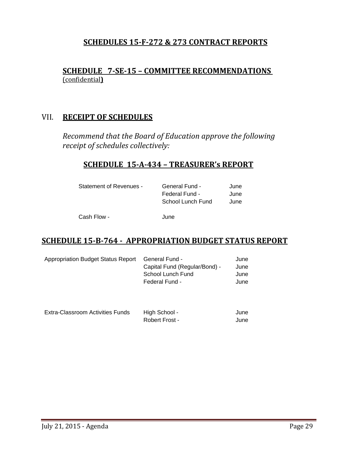## **SCHEDULES 15-F-272 & 273 CONTRACT REPORTS**

## **SCHEDULE 7-SE-15 – COMMITTEE RECOMMENDATIONS**  (confidential**)**

## VII. **RECEIPT OF SCHEDULES**

*Recommend that the Board of Education approve the following receipt of schedules collectively:*

# **SCHEDULE 15-A-434 – TREASURER's REPORT**

| Statement of Revenues - | <b>General Fund -</b> | June |
|-------------------------|-----------------------|------|
|                         | Federal Fund -        | June |
|                         | School Lunch Fund     | June |
| Cash Flow -             | June                  |      |

## **SCHEDULE 15-B-764 - APPROPRIATION BUDGET STATUS REPORT**

| Appropriation Budget Status Report | <b>General Fund -</b>         | June |
|------------------------------------|-------------------------------|------|
|                                    | Capital Fund (Regular/Bond) - | June |
|                                    | School Lunch Fund             | June |
|                                    | Federal Fund -                | June |
|                                    |                               |      |
|                                    |                               |      |

| Extra-Classroom Activities Funds | High School -  | June |
|----------------------------------|----------------|------|
|                                  | Robert Frost - | June |